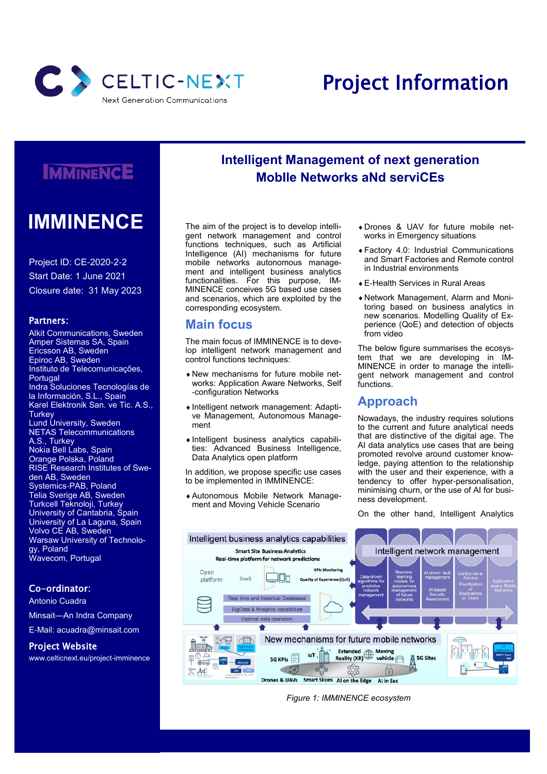

# Project Information

# **IMMINENCE**

# **IMMINENCE**

Project ID: CE-2020-2-2 Start Date: 1 June 2021 Closure date: 31 May 2023

#### Partners:

Alkit Communications, Sweden Amper Sistemas SA, Spain Ericsson AB, Sweden Epiroc AB, Sweden Instituto de Telecomunicações, Portugal Indra Soluciones Tecnologías de la Información, S.L., Spain Karel Elektronik San. ve Tic. A.S., Turkey Lund University, Sweden NETAS Telecommunications A.S., Turkey Nokia Bell Labs, Spain Orange Polska, Poland RISE Research Institutes of Sweden AB, Sweden Systemics-PAB, Poland Telia Sverige AB, Sweden Turkcell Teknoloji, Turkey University of Cantabria, Spain University of La Laguna, Spain Volvo CE AB, Sweden Warsaw University of Technology, Poland Wavecom, Portugal

#### Co-ordinator:

Antonio Cuadra

Minsait—An Indra Company

E-Mail: acuadra@minsait.com

#### Project Website

www.celticnext.eu/project-imminence

## **Intelligent Management of next generation MobIle Networks aNd serviCEs**

The aim of the project is to develop intelligent network management and control functions techniques, such as Artificial Intelligence (AI) mechanisms for future mobile networks autonomous management and intelligent business analytics functionalities. For this purpose, IM-MINENCE conceives 5G based use cases and scenarios, which are exploited by the corresponding ecosystem.

### **Main focus**

The main focus of IMMINENCE is to develop intelligent network management and control functions techniques:

- New mechanisms for future mobile networks: Application Aware Networks, Self -configuration Networks
- Intelligent network management: Adaptive Management, Autonomous Management
- $\bullet$  Intelligent business analytics capabilities: Advanced Business Intelligence, Data Analytics open platform

In addition, we propose specific use cases to be implemented in IMMINENCE:

Autonomous Mobile Network Management and Moving Vehicle Scenario

- Drones & UAV for future mobile networks in Emergency situations
- Factory 4.0: Industrial Communications and Smart Factories and Remote control in Industrial environments
- E-Health Services in Rural Areas
- Network Management, Alarm and Monitoring based on business analytics in new scenarios. Modelling Quality of Experience (QoE) and detection of objects from video

The below figure summarises the ecosystem that we are developing in IM-MINENCE in order to manage the intelligent network management and control functions.

### **Approach**

Nowadays, the industry requires solutions to the current and future analytical needs that are distinctive of the digital age. The AI data analytics use cases that are being promoted revolve around customer knowledge, paying attention to the relationship with the user and their experience, with a tendency to offer hyper-personalisation, minimising churn, or the use of AI for business development.

On the other hand, Intelligent Analytics



*Figure 1: IMMINENCE ecosystem*